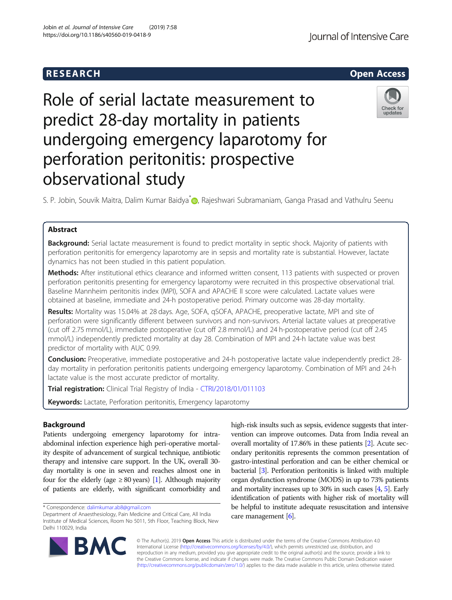# R E S EAR CH Open Access

Role of serial lactate measurement to predict 28-day mortality in patients undergoing emergency laparotomy for perforation peritonitis: prospective observational study

S. P. Jobin[,](http://orcid.org/0000-0001-7811-7039) Souvik Maitra, Dalim Kumar Baidya<sup>\*</sup> D. Rajeshwari Subramaniam, Ganga Prasad and Vathulru Seenu

# Abstract

Background: Serial lactate measurement is found to predict mortality in septic shock. Majority of patients with perforation peritonitis for emergency laparotomy are in sepsis and mortality rate is substantial. However, lactate dynamics has not been studied in this patient population.

Methods: After institutional ethics clearance and informed written consent, 113 patients with suspected or proven perforation peritonitis presenting for emergency laparotomy were recruited in this prospective observational trial. Baseline Mannheim peritonitis index (MPI), SOFA and APACHE II score were calculated. Lactate values were obtained at baseline, immediate and 24-h postoperative period. Primary outcome was 28-day mortality.

Results: Mortality was 15.04% at 28 days. Age, SOFA, gSOFA, APACHE, preoperative lactate, MPI and site of perforation were significantly different between survivors and non-survivors. Arterial lactate values at preoperative (cut off 2.75 mmol/L), immediate postoperative (cut off 2.8 mmol/L) and 24 h-postoperative period (cut off 2.45 mmol/L) independently predicted mortality at day 28. Combination of MPI and 24-h lactate value was best predictor of mortality with AUC 0.99.

Conclusion: Preoperative, immediate postoperative and 24-h postoperative lactate value independently predict 28day mortality in perforation peritonitis patients undergoing emergency laparotomy. Combination of MPI and 24-h lactate value is the most accurate predictor of mortality.

Trial registration: Clinical Trial Registry of India - [CTRI/2018/01/011103](http://www.ctri.nic.in)

Keywords: Lactate, Perforation peritonitis, Emergency laparotomy

# Background

Patients undergoing emergency laparotomy for intraabdominal infection experience high peri-operative mortality despite of advancement of surgical technique, antibiotic therapy and intensive care support. In the UK, overall 30 day mortality is one in seven and reaches almost one in four for the elderly (age  $\geq 80$  years) [\[1\]](#page-5-0). Although majority of patients are elderly, with significant comorbidity and

\* Correspondence: [dalimkumar.ab8@gmail.com](mailto:dalimkumar.ab8@gmail.com)

© The Author(s). 2019 Open Access This article is distributed under the terms of the Creative Commons Attribution 4.0 International License [\(http://creativecommons.org/licenses/by/4.0/](http://creativecommons.org/licenses/by/4.0/)), which permits unrestricted use, distribution, and reproduction in any medium, provided you give appropriate credit to the original author(s) and the source, provide a link to the Creative Commons license, and indicate if changes were made. The Creative Commons Public Domain Dedication waiver [\(http://creativecommons.org/publicdomain/zero/1.0/](http://creativecommons.org/publicdomain/zero/1.0/)) applies to the data made available in this article, unless otherwise stated.

high-risk insults such as sepsis, evidence suggests that intervention can improve outcomes. Data from India reveal an overall mortality of 17.86% in these patients [\[2\]](#page-5-0). Acute secondary peritonitis represents the common presentation of gastro-intestinal perforation and can be either chemical or bacterial [\[3](#page-5-0)]. Perforation peritonitis is linked with multiple organ dysfunction syndrome (MODS) in up to 73% patients and mortality increases up to 30% in such cases [\[4,](#page-5-0) [5](#page-6-0)]. Early identification of patients with higher risk of mortality will be helpful to institute adequate resuscitation and intensive care management [\[6\]](#page-6-0).





Department of Anaesthesiology, Pain Medicine and Critical Care, All India Institute of Medical Sciences, Room No 5011, 5th Floor, Teaching Block, New Delhi 110029, India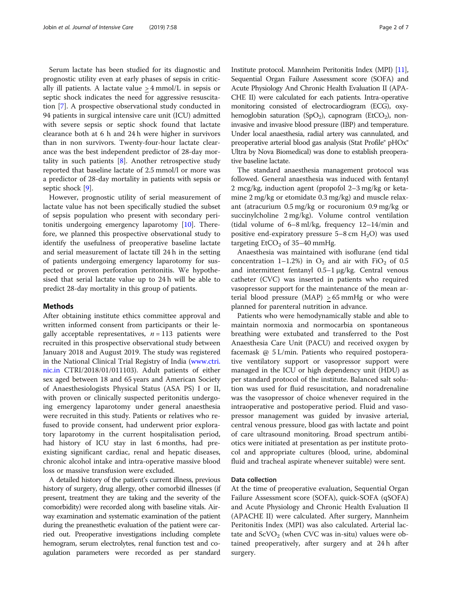Serum lactate has been studied for its diagnostic and prognostic utility even at early phases of sepsis in critically ill patients. A lactate value > 4 mmol/L in sepsis or septic shock indicates the need for aggressive resuscitation [[7](#page-6-0)]. A prospective observational study conducted in 94 patients in surgical intensive care unit (ICU) admitted with severe sepsis or septic shock found that lactate clearance both at 6 h and 24 h were higher in survivors than in non survivors. Twenty-four-hour lactate clearance was the best independent predictor of 28-day mortality in such patients [[8\]](#page-6-0). Another retrospective study reported that baseline lactate of 2.5 mmol/l or more was a predictor of 28-day mortality in patients with sepsis or septic shock [[9\]](#page-6-0).

However, prognostic utility of serial measurement of lactate value has not been specifically studied the subset of sepsis population who present with secondary peritonitis undergoing emergency laparotomy [\[10](#page-6-0)]. Therefore, we planned this prospective observational study to identify the usefulness of preoperative baseline lactate and serial measurement of lactate till 24 h in the setting of patients undergoing emergency laparotomy for suspected or proven perforation peritonitis. We hypothesised that serial lactate value up to 24 h will be able to predict 28-day mortality in this group of patients.

## Methods

After obtaining institute ethics committee approval and written informed consent from participants or their legally acceptable representatives,  $n = 113$  patients were recruited in this prospective observational study between January 2018 and August 2019. The study was registered in the National Clinical Trial Registry of India ([www.ctri.](http://www.ctri.nic.in) [nic.in](http://www.ctri.nic.in) CTRI/2018/01/011103). Adult patients of either sex aged between 18 and 65 years and American Society of Anaesthesiologists Physical Status (ASA PS) I or II, with proven or clinically suspected peritonitis undergoing emergency laparotomy under general anaesthesia were recruited in this study. Patients or relatives who refused to provide consent, had underwent prior exploratory laparotomy in the current hospitalisation period, had history of ICU stay in last 6 months, had preexisting significant cardiac, renal and hepatic diseases, chronic alcohol intake and intra-operative massive blood loss or massive transfusion were excluded.

A detailed history of the patient's current illness, previous history of surgery, drug allergy, other comorbid illnesses (if present, treatment they are taking and the severity of the comorbidity) were recorded along with baseline vitals. Airway examination and systematic examination of the patient during the preanesthetic evaluation of the patient were carried out. Preoperative investigations including complete hemogram, serum electrolytes, renal function test and coagulation parameters were recorded as per standard Institute protocol. Mannheim Peritonitis Index (MPI) [\[11](#page-6-0)], Sequential Organ Failure Assessment score (SOFA) and Acute Physiology And Chronic Health Evaluation II (APA-CHE II) were calculated for each patients. Intra-operative monitoring consisted of electrocardiogram (ECG), oxyhemoglobin saturation (SpO<sub>2</sub>), capnogram (EtCO<sub>2</sub>), noninvasive and invasive blood pressure (IBP) and temperature. Under local anaesthesia, radial artery was cannulated, and preoperative arterial blood gas analysis (Stat Profile® pHOx® Ultra by Nova Biomedical) was done to establish preoperative baseline lactate.

The standard anaesthesia management protocol was followed. General anaesthesia was induced with fentanyl 2 mcg/kg, induction agent (propofol 2–3 mg/kg or ketamine 2 mg/kg or etomidate 0.3 mg/kg) and muscle relaxant (atracurium 0.5 mg/kg or rocuronium 0.9 mg/kg or succinylcholine 2 mg/kg). Volume control ventilation (tidal volume of 6–8 ml/kg, frequency 12–14/min and positive end-expiratory pressure  $5-8$  cm  $H_2O$ ) was used targeting  $EtCO<sub>2</sub>$  of 35–40 mmHg.

Anaesthesia was maintained with isoflurane (end tidal concentration 1–1.2%) in  $O_2$  and air with FiO<sub>2</sub> of 0.5 and intermittent fentanyl 0.5–1 μg/kg. Central venous catheter (CVC) was inserted in patients who required vasopressor support for the maintenance of the mean arterial blood pressure (MAP) > 65 mmHg or who were planned for parenteral nutrition in advance.

Patients who were hemodynamically stable and able to maintain normoxia and normocarbia on spontaneous breathing were extubated and transferred to the Post Anaesthesia Care Unit (PACU) and received oxygen by facemask @ 5 L/min. Patients who required postoperative ventilatory support or vasopressor support were managed in the ICU or high dependency unit (HDU) as per standard protocol of the institute. Balanced salt solution was used for fluid resuscitation, and noradrenaline was the vasopressor of choice whenever required in the intraoperative and postoperative period. Fluid and vasopressor management was guided by invasive arterial, central venous pressure, blood gas with lactate and point of care ultrasound monitoring. Broad spectrum antibiotics were initiated at presentation as per institute protocol and appropriate cultures (blood, urine, abdominal fluid and tracheal aspirate whenever suitable) were sent.

## Data collection

At the time of preoperative evaluation, Sequential Organ Failure Assessment score (SOFA), quick-SOFA (qSOFA) and Acute Physiology and Chronic Health Evaluation II (APACHE II) were calculated. After surgery, Mannheim Peritonitis Index (MPI) was also calculated. Arterial lactate and  $ScVO<sub>2</sub>$  (when CVC was in-situ) values were obtained preoperatively, after surgery and at 24 h after surgery.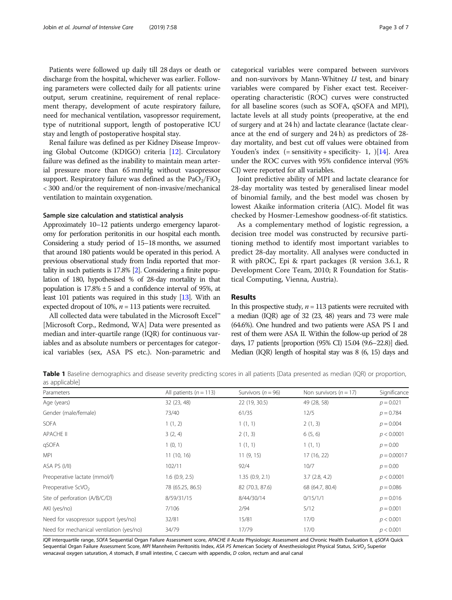<span id="page-2-0"></span>Patients were followed up daily till 28 days or death or discharge from the hospital, whichever was earlier. Following parameters were collected daily for all patients: urine output, serum creatinine, requirement of renal replacement therapy, development of acute respiratory failure, need for mechanical ventilation, vasopressor requirement, type of nutritional support, length of postoperative ICU stay and length of postoperative hospital stay.

Renal failure was defined as per Kidney Disease Improving Global Outcome (KDIGO) criteria [\[12\]](#page-6-0). Circulatory failure was defined as the inability to maintain mean arterial pressure more than 65 mmHg without vasopressor support. Respiratory failure was defined as the  $PaO<sub>2</sub>/FiO<sub>2</sub>$ < 300 and/or the requirement of non-invasive/mechanical ventilation to maintain oxygenation.

## Sample size calculation and statistical analysis

Approximately 10–12 patients undergo emergency laparotomy for perforation peritonitis in our hospital each month. Considering a study period of 15–18 months, we assumed that around 180 patients would be operated in this period. A previous observational study from India reported that mortality in such patients is 17.8% [\[2\]](#page-5-0). Considering a finite population of 180, hypothesised % of 28-day mortality in that population is  $17.8\% \pm 5$  and a confidence interval of 95%, at least 101 patients was required in this study [\[13\]](#page-6-0). With an expected dropout of 10%,  $n = 113$  patients were recruited.

All collected data were tabulated in the Microsoft Excel™ [Microsoft Corp., Redmond, WA] Data were presented as median and inter-quartile range (IQR) for continuous variables and as absolute numbers or percentages for categorical variables (sex, ASA PS etc.). Non-parametric and categorical variables were compared between survivors and non-survivors by Mann-Whitney  $U$  test, and binary variables were compared by Fisher exact test. Receiveroperating characteristic (ROC) curves were constructed for all baseline scores (such as SOFA, qSOFA and MPI), lactate levels at all study points (preoperative, at the end of surgery and at 24 h) and lactate clearance (lactate clearance at the end of surgery and 24 h) as predictors of 28 day mortality, and best cut off values were obtained from Youden's index  $(=$  sensitivity + specificity- 1,  $)[14]$  $)[14]$  $)[14]$ . Area under the ROC curves with 95% confidence interval (95% CI) were reported for all variables.

Joint predictive ability of MPI and lactate clearance for 28-day mortality was tested by generalised linear model of binomial family, and the best model was chosen by lowest Akaike information criteria (AIC). Model fit was checked by Hosmer-Lemeshow goodness-of-fit statistics.

As a complementary method of logistic regression, a decision tree model was constructed by recursive partitioning method to identify most important variables to predict 28-day mortality. All analyses were conducted in R with pROC, Epi & rpart packages (R version 3.6.1, R Development Core Team, 2010; R Foundation for Statistical Computing, Vienna, Austria).

# Results

In this prospective study,  $n = 113$  patients were recruited with a median (IQR) age of 32 (23, 48) years and 73 were male (64.6%). One hundred and two patients were ASA PS I and rest of them were ASA II. Within the follow-up period of 28 days, 17 patients [proportion (95% CI) 15.04 (9.6–22.8)] died. Median (IQR) length of hospital stay was 8 (6, 15) days and

Table 1 Baseline demographics and disease severity predicting scores in all patients [Data presented as median (IQR) or proportion, as applicable]

| Parameters                               | All patients ( $n = 113$ ) | Survivors ( $n = 96$ ) | Non survivors ( $n = 17$ ) | Significance  |
|------------------------------------------|----------------------------|------------------------|----------------------------|---------------|
| Age (years)                              | 32 (23, 48)                | 22 (19, 30.5)          | 49 (28, 58)                | $p = 0.021$   |
| Gender (male/female)                     | 73/40                      | 61/35                  | 12/5                       | $p = 0.784$   |
| SOFA                                     | 1(1, 2)                    | 1(1, 1)                | 2(1, 3)                    | $p = 0.004$   |
| <b>APACHE II</b>                         | 3(2, 4)                    | 2(1, 3)                | 6(5, 6)                    | p < 0.0001    |
| qSOFA                                    | 1(0, 1)                    | 1(1, 1)                | 1(1, 1)                    | $p = 0.00$    |
| <b>MPI</b>                               | 11(10, 16)                 | 11(9, 15)              | 17(16, 22)                 | $p = 0.00017$ |
| ASA PS (I/II)                            | 102/11                     | 92/4                   | 10/7                       | $p = 0.00$    |
| Preoperative lactate (mmol/l)            | 1.6(0.9, 2.5)              | 1.35(0.9, 2.1)         | 3.7(2.8, 4.2)              | p < 0.0001    |
| Preoperative ScVO <sub>2</sub>           | 78 (65.25, 86.5)           | 82 (70.3, 87.6)        | 68 (64.7, 80.4)            | $p = 0.086$   |
| Site of perforation (A/B/C/D)            | 8/59/31/15                 | 8/44/30/14             | 0/15/1/1                   | $p = 0.016$   |
| AKI (yes/no)                             | 7/106                      | 2/94                   | 5/12                       | $p = 0.001$   |
| Need for vasopressor support (yes/no)    | 32/81                      | 15/81                  | 17/0                       | p < 0.001     |
| Need for mechanical ventilation (yes/no) | 34/79                      | 17/79                  | 17/0                       | p < 0.001     |

IQR interquartile range, SOFA Sequential Organ Failure Assessment score, APACHE II Acute Physiologic Assessment and Chronic Health Evaluation II, qSOFA Quick Sequential Organ Failure Assessment Score, MPI Mannheim Peritonitis Index, ASA PS American Society of Anesthesiologist Physical Status, ScVO<sub>2</sub> Superior venacaval oxygen saturation, A stomach, B small intestine, C caecum with appendix, D colon, rectum and anal canal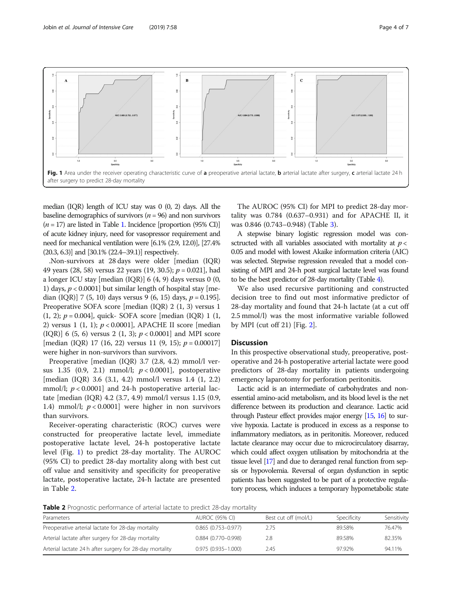

median (IQR) length of ICU stay was 0 (0, 2) days. All the baseline demographics of survivors ( $n = 96$ ) and non survivors  $(n = 17)$  are listed in Table [1.](#page-2-0) Incidence [proportion (95% CI)] of acute kidney injury, need for vasopressor requirement and need for mechanical ventilation were [6.1% (2.9, 12.0)], [27.4% (20.3, 6.3)] and [30.1% (22.4–39.1)] respectively.

.Non-survivors at 28 days were older [median (IQR) 49 years (28, 58) versus 22 years (19, 30.5);  $p = 0.021$ , had a longer ICU stay [median (IQR)] 6 (4, 9) days versus 0 (0, 1) days,  $p < 0.0001$  but similar length of hospital stay [median (IQR)] 7 (5, 10) days versus 9 (6, 15) days,  $p = 0.195$ ]. Preoperative SOFA score [median (IQR) 2 (1, 3) versus 1 (1, 2); p = 0.004], quick- SOFA score [median (IQR) 1 (1, 2) versus 1 (1, 1);  $p < 0.0001$ , APACHE II score [median (IQR)] 6 (5, 6) versus 2 (1, 3);  $p < 0.0001$ ] and MPI score [median (IQR) 17 (16, 22) versus 11 (9, 15);  $p = 0.00017$ ] were higher in non-survivors than survivors.

Preoperative [median (IQR) 3.7 (2.8, 4.2) mmol/l versus 1.35 (0.9, 2.1) mmol/l;  $p < 0.0001$ ], postoperative [median (IQR) 3.6 (3.1, 4.2) mmol/l versus 1.4 (1, 2.2) mmol/l;  $p < 0.0001$ ] and 24-h postoperative arterial lactate [median (IQR) 4.2 (3.7, 4.9) mmol/l versus 1.15 (0.9, 1.4) mmol/l;  $p < 0.0001$ ] were higher in non survivors than survivors.

Receiver-operating characteristic (ROC) curves were constructed for preoperative lactate level, immediate postoperative lactate level, 24-h postoperative lactate level (Fig. 1) to predict 28-day mortality. The AUROC (95% CI) to predict 28-day mortality along with best cut off value and sensitivity and specificity for preoperative lactate, postoperative lactate, 24-h lactate are presented in Table 2.

The AUROC (95% CI) for MPI to predict 28-day mortality was 0.784 (0.637–0.931) and for APACHE II, it was 0.846 (0.743–0.948) (Table [3](#page-4-0)).

A stepwise binary logistic regression model was consctructed with all variables associated with mortality at  $p <$ 0.05 and model with lowest Akaike information criteria (AIC) was selected. Stepwise regression revealed that a model consisting of MPI and 24-h post surgical lactate level was found to be the best predictor of 28-day mortality (Table [4](#page-4-0)).

We also used recursive partitioning and constructed decision tree to find out most informative predictor of 28-day mortality and found that 24-h lactate (at a cut off 2.5 mmol/l) was the most informative variable followed by MPI (cut off [2](#page-5-0)1) [Fig.  $2$ ].

# **Discussion**

In this prospective observational study, preoperative, postoperative and 24-h postoperative arterial lactate were good predictors of 28-day mortality in patients undergoing emergency laparotomy for perforation peritonitis.

Lactic acid is an intermediate of carbohydrates and nonessential amino-acid metabolism, and its blood level is the net difference between its production and clearance. Lactic acid through Pasteur effect provides major energy [\[15](#page-6-0), [16](#page-6-0)] to survive hypoxia. Lactate is produced in excess as a response to inflammatory mediators, as in peritonitis. Moreover, reduced lactate clearance may occur due to microcirculatory disarray, which could affect oxygen utilisation by mitochondria at the tissue level [\[17\]](#page-6-0) and due to deranged renal function from sepsis or hypovolemia. Reversal of organ dysfunction in septic patients has been suggested to be part of a protective regulatory process, which induces a temporary hypometabolic state

Table 2 Prognostic performance of arterial lactate to predict 28-day mortality

| AUROC (95% CI)         | Best cut off (mol/L) | Specificity | Sensitivity |
|------------------------|----------------------|-------------|-------------|
| $0.865(0.753 - 0.977)$ | 2.75                 | 89.58%      | 76.47%      |
| $0.884(0.770 - 0.998)$ | 2.8                  | 89.58%      | 82.35%      |
| $0.975(0.935 - 1.000)$ | 2.45                 | 97.92%      | 94.11%      |
|                        |                      |             |             |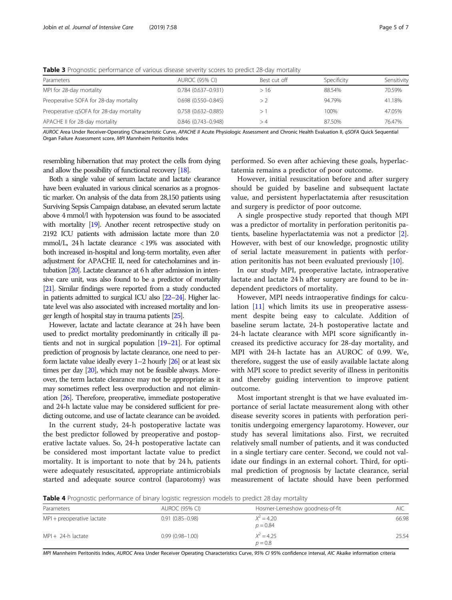| Parameters                              | AUROC (95% CI)         | Best cut off | Specificity | Sensitivity |
|-----------------------------------------|------------------------|--------------|-------------|-------------|
| MPI for 28-day mortality                | $0.784(0.637 - 0.931)$ | > 16         | 88.54%      | 70.59%      |
| Preoperative SOFA for 28-day mortality  | $0.698(0.550 - 0.845)$ |              | 94.79%      | 41.18%      |
| Preoperative gSOFA for 28-day mortality | $0.758(0.632 - 0.885)$ |              | 100%        | 47.05%      |
| APACHE II for 28-day mortality          | $0.846$ (0.743-0.948)  |              | 87.50%      | 76.47%      |

<span id="page-4-0"></span>Table 3 Prognostic performance of various disease severity scores to predict 28-day mortality

AUROC Area Under Receiver-Operating Characteristic Curve, APACHE II Acute Physiologic Assessment and Chronic Health Evaluation II, qSOFA Quick Sequential Organ Failure Assessment score, MPI Mannheim Peritonitis Index

resembling hibernation that may protect the cells from dying and allow the possibility of functional recovery [\[18](#page-6-0)].

Both a single value of serum lactate and lactate clearance have been evaluated in various clinical scenarios as a prognostic marker. On analysis of the data from 28,150 patients using Surviving Sepsis Campaign database, an elevated serum lactate above 4 mmol/l with hypotension was found to be associated with mortality [\[19\]](#page-6-0). Another recent retrospective study on 2192 ICU patients with admission lactate more than 2.0 mmol/L, 24 h lactate clearance < 19% was associated with both increased in-hospital and long-term mortality, even after adjustment for APACHE II, need for catecholamines and intubation [\[20](#page-6-0)]. Lactate clearance at 6 h after admission in intensive care unit, was also found to be a predictor of mortality [\[21](#page-6-0)]. Similar findings were reported from a study conducted in patients admitted to surgical ICU also [[22](#page-6-0)–[24](#page-6-0)]. Higher lactate level was also associated with increased mortality and longer length of hospital stay in trauma patients [\[25\]](#page-6-0).

However, lactate and lactate clearance at 24 h have been used to predict mortality predominantly in critically ill patients and not in surgical population [[19](#page-6-0)–[21\]](#page-6-0). For optimal prediction of prognosis by lactate clearance, one need to perform lactate value ideally every 1–2 hourly [\[26](#page-6-0)] or at least six times per day [\[20](#page-6-0)], which may not be feasible always. Moreover, the term lactate clearance may not be appropriate as it may sometimes reflect less overproduction and not elimination [\[26\]](#page-6-0). Therefore, preoperative, immediate postoperative and 24-h lactate value may be considered sufficient for predicting outcome, and use of lactate clearance can be avoided.

In the current study, 24-h postoperative lactate was the best predictor followed by preoperative and postoperative lactate values. So, 24-h postoperative lactate can be considered most important lactate value to predict mortality. It is important to note that by 24 h, patients were adequately resuscitated, appropriate antimicrobials started and adequate source control (laparotomy) was

performed. So even after achieving these goals, hyperlactatemia remains a predictor of poor outcome.

However, initial resuscitation before and after surgery should be guided by baseline and subsequent lactate value, and persistent hyperlactatemia after resuscitation and surgery is predictor of poor outcome.

A single prospective study reported that though MPI was a predictor of mortality in perforation peritonitis patients, baseline hyperlactatemia was not a predictor [\[2](#page-5-0)]. However, with best of our knowledge, prognostic utility of serial lactate measurement in patients with perforation peritonitis has not been evaluated previously [\[10\]](#page-6-0).

In our study MPI, preoperative lactate, intraoperative lactate and lactate 24 h after surgery are found to be independent predictors of mortality.

However, MPI needs intraoperative findings for calculation [[11\]](#page-6-0) which limits its use in preoperative assessment despite being easy to calculate. Addition of baseline serum lactate, 24-h postoperative lactate and 24-h lactate clearance with MPI score significantly increased its predictive accuracy for 28-day mortality, and MPI with 24-h lactate has an AUROC of 0.99. We, therefore, suggest the use of easily available lactate along with MPI score to predict severity of illness in peritonitis and thereby guiding intervention to improve patient outcome.

Most important strenght is that we have evaluated importance of serial lactate measurement along with other disease severity scores in patients with perforation peritonitis undergoing emergency laparotomy. However, our study has several limitations also. First, we recruited relatively small number of patients, and it was conducted in a single tertiary care center. Second, we could not validate our findings in an external cohort. Third, for optimal prediction of prognosis by lactate clearance, serial measurement of lactate should have been performed

**Table 4** Prognostic performance of binary logistic regression models to predict 28 day mortality

| Parameters                 | AUROC (95% CI)      | Hosmer-Lemeshow goodness-of-fit | AIC   |
|----------------------------|---------------------|---------------------------------|-------|
| MPI + preoperative lactate | $0.91(0.85 - 0.98)$ | $X^2 = 4.20$<br>$p = 0.84$      | 66.98 |
| $MPI + 24-h$ lactate       | $0.99(0.98 - 1.00)$ | $X^2 = 4.25$<br>$p = 0.8$       | 25.54 |

MPI Mannheim Peritonitis Index, AUROC Area Under Receiver Operating Characteristics Curve, 95% CI 95% confidence interval, AIC Akaike information criteria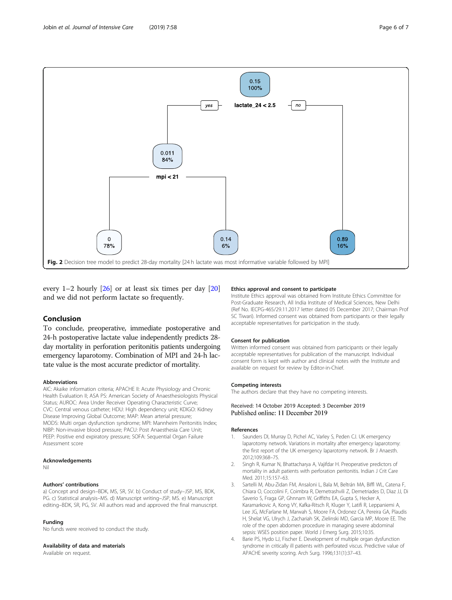

<span id="page-5-0"></span>

every  $1-2$  hourly  $\lfloor 26 \rfloor$  or at least six times per day  $\lfloor 20 \rfloor$  $\lfloor 20 \rfloor$  $\lfloor 20 \rfloor$ and we did not perform lactate so frequently.

# Conclusion

To conclude, preoperative, immediate postoperative and 24-h postoperative lactate value independently predicts 28 day mortality in perforation peritonitis patients undergoing emergency laparotomy. Combination of MPI and 24-h lactate value is the most accurate predictor of mortality.

## Abbreviations

AIC: Akaike information criteria; APACHE II: Acute Physiology and Chronic Health Evaluation II; ASA PS: American Society of Anaesthesiologists Physical Status; AUROC: Area Under Receiver Operating Characteristic Curve; CVC: Central venous catheter; HDU: High dependency unit; KDIGO: Kidney Disease Improving Global Outcome; MAP: Mean arterial pressure; MODS: Multi organ dysfunction syndrome; MPI: Mannheim Peritonitis Index; NIBP: Non-invasive blood pressure; PACU: Post Anaesthesia Care Unit; PEEP: Positive end expiratory pressure; SOFA: Sequential Organ Failure Assessment score

#### Acknowledgements

Nil

#### Authors' contributions

a) Concept and design–BDK, MS, SR, SV. b) Conduct of study–JSP, MS, BDK, PG. c) Statistical analysis–MS. d) Manuscript writing–JSP, MS. e) Manuscript editing–BDK, SR, PG, SV. All authors read and approved the final manuscript.

## Funding

No funds were received to conduct the study.

## Availability of data and materials

Available on request.

#### Ethics approval and consent to participate

Institute Ethics approval was obtained from Institute Ethics Committee for Post-Graduate Research, All India Institute of Medical Sciences, New Delhi (Ref No. IECPG-465/29.11.2017 letter dated 05 December 2017; Chairman Prof SC Tiwari). Informed consent was obtained from participants or their legally acceptable representatives for participation in the study.

#### Consent for publication

Written informed consent was obtained from participants or their legally acceptable representatives for publication of the manuscript. Individual consent form is kept with author and clinical notes with the Institute and available on request for review by Editor-in-Chief.

#### Competing interests

The authors declare that they have no competing interests.

## Received: 14 October 2019 Accepted: 3 December 2019 Published online: 11 December 2019

#### References

- 1. Saunders DI, Murray D, Pichel AC, Varley S, Peden CJ. UK emergency laparotomy network. Variations in mortality after emergency laparotomy: the first report of the UK emergency laparotomy network. Br J Anaesth. 2012;109:368–75.
- 2. Singh R, Kumar N, Bhattacharya A, Vajifdar H. Preoperative predictors of mortality in adult patients with perforation peritonitis. Indian J Crit Care Med. 2011;15:157–63.
- 3. Sartelli M, Abu-Zidan FM, Ansaloni L, Bala M, Beltrán MA, Biffl WL, Catena F, Chiara O, Coccolini F, Coimbra R, Demetrashvili Z, Demetriades D, Diaz JJ, Di Saverio S, Fraga GP, Ghnnam W, Griffiths EA, Gupta S, Hecker A, Karamarkovic A, Kong VY, Kafka-Ritsch R, Kluger Y, Latifi R, Leppaniemi A, Lee JG, McFarlane M, Marwah S, Moore FA, Ordonez CA, Pereira GA, Plaudis H, Shelat VG, Ulrych J, Zachariah SK, Zielinski MD, Garcia MP, Moore EE. The role of the open abdomen procedure in managing severe abdominal sepsis: WSES position paper. World J Emerg Surg. 2015;10:35.
- 4. Barie PS, Hydo LJ, Fischer E. Development of multiple organ dysfunction syndrome in critically ill patients with perforated viscus. Predictive value of APACHE severity scoring. Arch Surg. 1996;131(1):37–43.